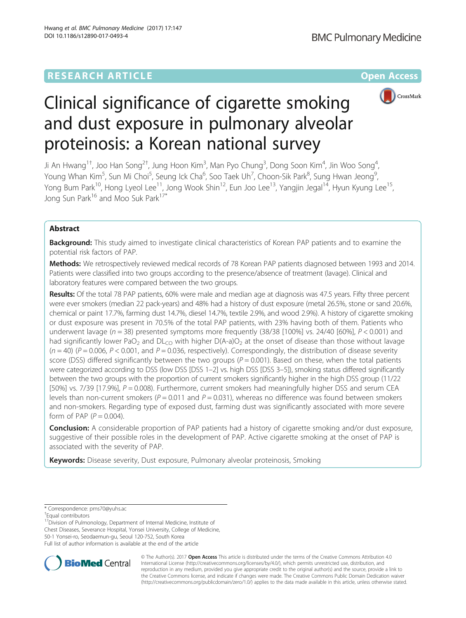# **RESEARCH ARTICLE External Structure Community Community Community Community Community Community Community Community**



# Clinical significance of cigarette smoking and dust exposure in pulmonary alveolar proteinosis: a Korean national survey

Ji An Hwang<sup>1†</sup>, Joo Han Song<sup>2†</sup>, Jung Hoon Kim<sup>3</sup>, Man Pyo Chung<sup>3</sup>, Dong Soon Kim<sup>4</sup>, Jin Woo Song<sup>4</sup> , Young Whan Kim<sup>5</sup>, Sun Mi Choi<sup>5</sup>, Seung Ick Cha<sup>6</sup>, Soo Taek Uh<sup>7</sup>, Choon-Sik Park<sup>8</sup>, Sung Hwan Jeong<sup>9</sup> , Yong Bum Park<sup>10</sup>, Hong Lyeol Lee<sup>11</sup>, Jong Wook Shin<sup>12</sup>, Eun Joo Lee<sup>13</sup>, Yangjin Jegal<sup>14</sup>, Hyun Kyung Lee<sup>15</sup>, Jong Sun Park<sup>16</sup> and Moo Suk Park<sup>17\*</sup>

# Abstract

Background: This study aimed to investigate clinical characteristics of Korean PAP patients and to examine the potential risk factors of PAP.

Methods: We retrospectively reviewed medical records of 78 Korean PAP patients diagnosed between 1993 and 2014. Patients were classified into two groups according to the presence/absence of treatment (lavage). Clinical and laboratory features were compared between the two groups.

Results: Of the total 78 PAP patients, 60% were male and median age at diagnosis was 47.5 years. Fifty three percent were ever smokers (median 22 pack-years) and 48% had a history of dust exposure (metal 26.5%, stone or sand 20.6%, chemical or paint 17.7%, farming dust 14.7%, diesel 14.7%, textile 2.9%, and wood 2.9%). A history of cigarette smoking or dust exposure was present in 70.5% of the total PAP patients, with 23% having both of them. Patients who underwent lavage ( $n = 38$ ) presented symptoms more frequently (38/38 [100%] vs. 24/40 [60%],  $P < 0.001$ ) and had significantly lower PaO<sub>2</sub> and DL<sub>CO</sub> with higher D(A-a)O<sub>2</sub> at the onset of disease than those without lavage  $(n = 40)$  (P = 0.006, P < 0.001, and P = 0.036, respectively). Correspondingly, the distribution of disease severity score (DSS) differed significantly between the two groups ( $P = 0.001$ ). Based on these, when the total patients were categorized according to DSS (low DSS [DSS 1–2] vs. high DSS [DSS 3–5]), smoking status differed significantly between the two groups with the proportion of current smokers significantly higher in the high DSS group (11/22 [50%] vs. 7/39 [17.9%],  $P = 0.008$ ). Furthermore, current smokers had meaningfully higher DSS and serum CEA levels than non-current smokers ( $P = 0.011$  and  $P = 0.031$ ), whereas no difference was found between smokers and non-smokers. Regarding type of exposed dust, farming dust was significantly associated with more severe form of PAP ( $P = 0.004$ ).

**Conclusion:** A considerable proportion of PAP patients had a history of cigarette smoking and/or dust exposure, suggestive of their possible roles in the development of PAP. Active cigarette smoking at the onset of PAP is associated with the severity of PAP.

Keywords: Disease severity, Dust exposure, Pulmonary alveolar proteinosis, Smoking

<sup>17</sup>Division of Pulmonology, Department of Internal Medicine, Institute of Chest Diseases, Severance Hospital, Yonsei University, College of Medicine, 50-1 Yonsei-ro, Seodaemun-gu, Seoul 120-752, South Korea Full list of author information is available at the end of the article



© The Author(s). 2017 **Open Access** This article is distributed under the terms of the Creative Commons Attribution 4.0 International License [\(http://creativecommons.org/licenses/by/4.0/](http://creativecommons.org/licenses/by/4.0/)), which permits unrestricted use, distribution, and reproduction in any medium, provided you give appropriate credit to the original author(s) and the source, provide a link to the Creative Commons license, and indicate if changes were made. The Creative Commons Public Domain Dedication waiver [\(http://creativecommons.org/publicdomain/zero/1.0/](http://creativecommons.org/publicdomain/zero/1.0/)) applies to the data made available in this article, unless otherwise stated.

<sup>\*</sup> Correspondence: [pms70@yuhs.ac](mailto:pms70@yuhs.ac) †

Equal contributors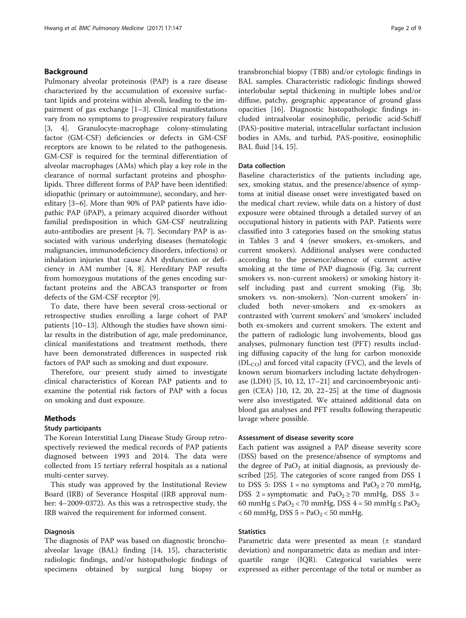# Background

Pulmonary alveolar proteinosis (PAP) is a rare disease characterized by the accumulation of excessive surfactant lipids and proteins within alveoli, leading to the impairment of gas exchange [\[1](#page-7-0)–[3](#page-7-0)]. Clinical manifestations vary from no symptoms to progressive respiratory failure [[3, 4\]](#page-7-0). Granulocyte-macrophage colony-stimulating factor (GM-CSF) deficiencies or defects in GM-CSF receptors are known to be related to the pathogenesis. GM-CSF is required for the terminal differentiation of alveolar macrophages (AMs) which play a key role in the clearance of normal surfactant proteins and phospholipids. Three different forms of PAP have been identified: idiopathic (primary or autoimmune), secondary, and hereditary [[3](#page-7-0)–[6\]](#page-7-0). More than 90% of PAP patients have idiopathic PAP (iPAP), a primary acquired disorder without familial predisposition in which GM-CSF neutralizing auto-antibodies are present [[4, 7](#page-7-0)]. Secondary PAP is associated with various underlying diseases (hematologic malignancies, immunodeficiency disorders, infections) or inhalation injuries that cause AM dysfunction or deficiency in AM number [[4, 8](#page-7-0)]. Hereditary PAP results from homozygous mutations of the genes encoding surfactant proteins and the ABCA3 transporter or from defects of the GM-CSF receptor [[9\]](#page-7-0).

To date, there have been several cross-sectional or retrospective studies enrolling a large cohort of PAP patients [\[10](#page-7-0)–[13\]](#page-7-0). Although the studies have shown similar results in the distribution of age, male predominance, clinical manifestations and treatment methods, there have been demonstrated differences in suspected risk factors of PAP such as smoking and dust exposure.

Therefore, our present study aimed to investigate clinical characteristics of Korean PAP patients and to examine the potential risk factors of PAP with a focus on smoking and dust exposure.

# Methods

# Study participants

The Korean Interstitial Lung Disease Study Group retrospectively reviewed the medical records of PAP patients diagnosed between 1993 and 2014. The data were collected from 15 tertiary referral hospitals as a national multi-center survey.

This study was approved by the Institutional Review Board (IRB) of Severance Hospital (IRB approval number: 4–2009-0372). As this was a retrospective study, the IRB waived the requirement for informed consent.

# **Diagnosis**

The diagnosis of PAP was based on diagnostic bronchoalveolar lavage (BAL) finding [[14, 15](#page-7-0)], characteristic radiologic findings, and/or histopathologic findings of specimens obtained by surgical lung biopsy or transbronchial biopsy (TBB) and/or cytologic findings in BAL samples. Characteristic radiologic findings showed interlobular septal thickening in multiple lobes and/or diffuse, patchy, geographic appearance of ground glass opacities [[16](#page-7-0)]. Diagnostic histopathologic findings included intraalveolar eosinophilic, periodic acid-Schiff (PAS)-positive material, intracellular surfactant inclusion bodies in AMs, and turbid, PAS-positive, eosinophilic BAL fluid [[14](#page-7-0), [15](#page-7-0)].

# Data collection

Baseline characteristics of the patients including age, sex, smoking status, and the presence/absence of symptoms at initial disease onset were investigated based on the medical chart review, while data on a history of dust exposure were obtained through a detailed survey of an occupational history in patients with PAP. Patients were classified into 3 categories based on the smoking status in Tables [3](#page-3-0) and [4](#page-4-0) (never smokers, ex-smokers, and current smokers). Additional analyses were conducted according to the presence/absence of current active smoking at the time of PAP diagnosis (Fig. [3a](#page-5-0); current smokers vs. non-current smokers) or smoking history itself including past and current smoking (Fig. [3b](#page-5-0); smokers vs. non-smokers). 'Non-current smokers' included both never-smokers and ex-smokers as contrasted with 'current smokers' and 'smokers' included both ex-smokers and current smokers. The extent and the pattern of radiologic lung involvements, blood gas analyses, pulmonary function test (PFT) results including diffusing capacity of the lung for carbon monoxide  $(DL_{CO})$  and forced vital capacity (FVC), and the levels of known serum biomarkers including lactate dehydrogenase (LDH) [\[5](#page-7-0), [10](#page-7-0), [12](#page-7-0), [17](#page-7-0)–[21\]](#page-7-0) and carcinoembryonic antigen (CEA) [\[10](#page-7-0), [12](#page-7-0), [20](#page-7-0), [22](#page-7-0)–[25](#page-7-0)] at the time of diagnosis were also investigated. We attained additional data on blood gas analyses and PFT results following therapeutic lavage where possible.

#### Assessment of disease severity score

Each patient was assigned a PAP disease severity score (DSS) based on the presence/absence of symptoms and the degree of  $PaO<sub>2</sub>$  at initial diagnosis, as previously described [\[25\]](#page-7-0). The categories of score ranged from DSS 1 to DSS 5: DSS 1 = no symptoms and  $PaO<sub>2</sub> \ge 70$  mmHg, DSS 2 = symptomatic and  $PaO<sub>2</sub> \ge 70$  mmHg, DSS 3 = 60 mmHg  $\leq$  PaO<sub>2</sub> < 70 mmHg, DSS 4 = 50 mmHg  $\leq$  PaO<sub>2</sub>  $< 60$  mmHg, DSS  $5 = PaO<sub>2</sub> < 50$  mmHg.

# **Statistics**

Parametric data were presented as mean (± standard deviation) and nonparametric data as median and interquartile range (IQR). Categorical variables were expressed as either percentage of the total or number as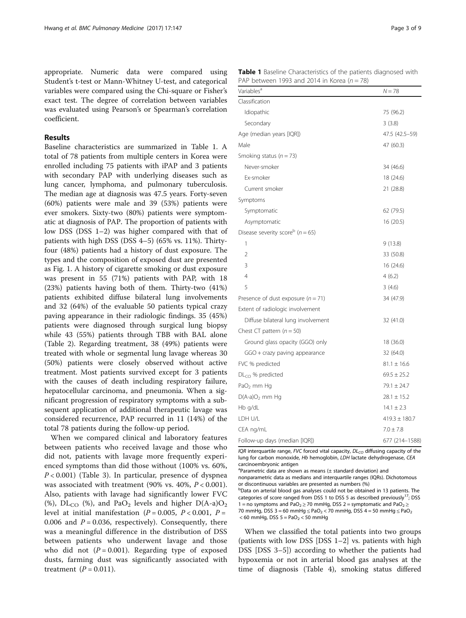appropriate. Numeric data were compared using Student's t-test or Mann-Whitney U-test, and categorical variables were compared using the Chi-square or Fisher's exact test. The degree of correlation between variables was evaluated using Pearson's or Spearman's correlation coefficient.

# Results

Baseline characteristics are summarized in Table 1. A total of 78 patients from multiple centers in Korea were enrolled including 75 patients with iPAP and 3 patients with secondary PAP with underlying diseases such as lung cancer, lymphoma, and pulmonary tuberculosis. The median age at diagnosis was 47.5 years. Forty-seven (60%) patients were male and 39 (53%) patients were ever smokers. Sixty-two (80%) patients were symptomatic at diagnosis of PAP. The proportion of patients with low DSS (DSS 1–2) was higher compared with that of patients with high DSS (DSS 4–5) (65% vs. 11%). Thirtyfour (48%) patients had a history of dust exposure. The types and the composition of exposed dust are presented as Fig. [1](#page-3-0). A history of cigarette smoking or dust exposure was present in 55 (71%) patients with PAP, with 18 (23%) patients having both of them. Thirty-two (41%) patients exhibited diffuse bilateral lung involvements and 32 (64%) of the evaluable 50 patients typical crazy paving appearance in their radiologic findings. 35 (45%) patients were diagnosed through surgical lung biopsy while 43 (55%) patients through TBB with BAL alone (Table [2](#page-3-0)). Regarding treatment, 38 (49%) patients were treated with whole or segmental lung lavage whereas 30 (50%) patients were closely observed without active treatment. Most patients survived except for 3 patients with the causes of death including respiratory failure, hepatocellular carcinoma, and pneumonia. When a significant progression of respiratory symptoms with a subsequent application of additional therapeutic lavage was considered recurrence, PAP recurred in 11 (14%) of the total 78 patients during the follow-up period.

When we compared clinical and laboratory features between patients who received lavage and those who did not, patients with lavage more frequently experienced symptoms than did those without (100% vs. 60%,  $P < 0.001$ ) (Table [3](#page-3-0)). In particular, presence of dyspnea was associated with treatment (90% vs. 40%,  $P < 0.001$ ). Also, patients with lavage had significantly lower FVC (%),  $DL_{CO}$  (%), and PaO<sub>2</sub> levels and higher  $D(A-a)O_2$ level at initial manifestation ( $P = 0.005$ ,  $P < 0.001$ ,  $P =$ 0.006 and  $P = 0.036$ , respectively). Consequently, there was a meaningful difference in the distribution of DSS between patients who underwent lavage and those who did not  $(P = 0.001)$ . Regarding type of exposed dusts, farming dust was significantly associated with treatment  $(P = 0.011)$ .

Table 1 Baseline Characteristics of the patients diagnosed with PAP between 1993 and 2014 in Korea ( $n = 78$ )

| Variables <sup>a</sup>                           | $N = 78$          |  |
|--------------------------------------------------|-------------------|--|
| Classification                                   |                   |  |
| Idiopathic                                       | 75 (96.2)         |  |
| Secondary                                        | 3(3.8)            |  |
| Age (median years [IQR])                         | 47.5 (42.5-59)    |  |
| Male                                             | 47 (60.3)         |  |
| Smoking status ( $n = 73$ )                      |                   |  |
| Never-smoker                                     | 34 (46.6)         |  |
| Ex-smoker                                        | 18 (24.6)         |  |
| Current smoker                                   | 21 (28.8)         |  |
| Symptoms                                         |                   |  |
| Symptomatic                                      | 62 (79.5)         |  |
| Asymptomatic                                     | 16 (20.5)         |  |
| Disease severity score <sup>b</sup> ( $n = 65$ ) |                   |  |
| 1                                                | 9(13.8)           |  |
| 2                                                | 33 (50.8)         |  |
| 3                                                | 16 (24.6)         |  |
| $\overline{4}$                                   | 4(6.2)            |  |
| 5                                                | 3(4.6)            |  |
| Presence of dust exposure ( $n = 71$ )           | 34 (47.9)         |  |
| Extent of radiologic involvement                 |                   |  |
| Diffuse bilateral lung involvement               | 32 (41.0)         |  |
| Chest CT pattern $(n = 50)$                      |                   |  |
| Ground glass opacity (GGO) only                  | 18 (36.0)         |  |
| GGO + crazy paving appearance                    | 32 (64.0)         |  |
| FVC % predicted                                  | $81.1 \pm 16.6$   |  |
| $DLCO$ % predicted                               | $69.5 \pm 25.2$   |  |
| $PaO2$ mm Hg                                     | $79.1 \pm 24.7$   |  |
| $D(A-a)O2$ mm Hg                                 | $28.1 \pm 15.2$   |  |
| Hb g/dL                                          | $14.1 \pm 2.3$    |  |
| LDH U/L                                          | $419.3 \pm 180.7$ |  |
| CEA ng/mL                                        | $7.0 \pm 7.8$     |  |
| Follow-up days (median [IQR])                    | 677 (214-1588)    |  |

IQR interquartile range, FVC forced vital capacity,  $DL_{CO}$  diffusing capacity of the lung for carbon monoxide, Hb hemoglobin, LDH lactate dehydrogenase, CEA carcinoembryonic antigen

a Parametric data are shown as means (± standard deviation) and

nonparametric data as medians and interquartile ranges (IQRs). Dichotomous or discontinuous variables are presented as numbers (%)

b Data on arterial blood gas analyses could not be obtained in 13 patients. The categories of score ranged from DSS 1 to DSS 5 as described previously<sup>17</sup>; DSS 1 = no symptoms and PaO<sub>2</sub>  $\ge$  70 mmHg, DSS 2 = symptomatic and PaO<sub>2</sub>  $\ge$ 70 mmHg, DSS 3 = 60 mmHg  $\leq$  PaO<sub>2</sub> < 70 mmHg, DSS 4 = 50 mmHg  $\leq$  PaO<sub>2</sub>  $<$  60 mmHg, DSS 5 = PaO<sub>2</sub>  $<$  50 mmHg

When we classified the total patients into two groups (patients with low DSS [DSS 1–2] vs. patients with high DSS [DSS 3–5]) according to whether the patients had hypoxemia or not in arterial blood gas analyses at the time of diagnosis (Table [4\)](#page-4-0), smoking status differed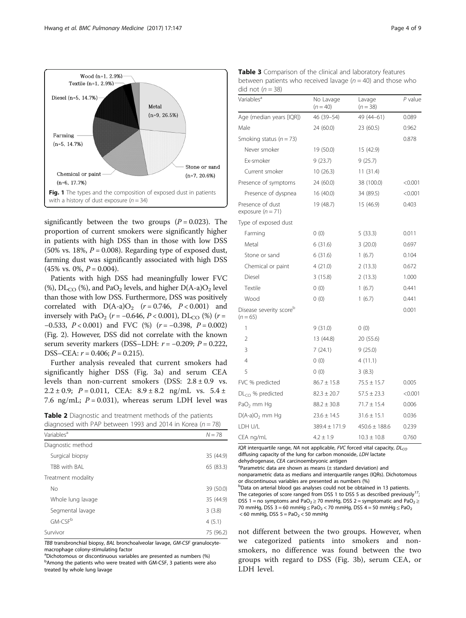<span id="page-3-0"></span>

significantly between the two groups  $(P = 0.023)$ . The proportion of current smokers were significantly higher in patients with high DSS than in those with low DSS (50% vs. 18%,  $P = 0.008$ ). Regarding type of exposed dust, farming dust was significantly associated with high DSS  $(45\% \text{ vs. } 0\%, P = 0.004).$ 

Patients with high DSS had meaningfully lower FVC (%),  $DL_{CO}$  (%), and PaO<sub>2</sub> levels, and higher  $D(A-a)O<sub>2</sub>$  level than those with low DSS. Furthermore, DSS was positively correlated with  $D(A-a)O_2$   $(r = 0.746, P < 0.001)$  and inversely with PaO<sub>2</sub> (r = -0.646, P < 0.001), DL<sub>CO</sub> (%) (r =  $-0.533$ ,  $P < 0.001$ ) and FVC (%) ( $r = -0.398$ ,  $P = 0.002$ ) (Fig. [2](#page-5-0)). However, DSS did not correlate with the known serum severity markers (DSS–LDH:  $r = -0.209$ ;  $P = 0.222$ , DSS–CEA:  $r = 0.406$ ;  $P = 0.215$ ).

Further analysis revealed that current smokers had significantly higher DSS (Fig. [3a\)](#page-5-0) and serum CEA levels than non-current smokers (DSS:  $2.8 \pm 0.9$  vs. 2.2 ± 0.9;  $P = 0.011$ , CEA:  $8.9 \pm 8.2$  ng/mL vs.  $5.4 \pm$ 7.6 ng/mL;  $P = 0.031$ ), whereas serum LDH level was

Table 2 Diagnostic and treatment methods of the patients diagnosed with PAP between 1993 and  $2014$  in Korea (n - 78)

| $N = 78$  |
|-----------|
|           |
|           |
| 35 (44.9) |
| 65 (83.3) |
|           |
| 39 (50.0) |
| 35 (44.9) |
| 3(3.8)    |
| 4(5.1)    |
| 75 (96.2) |
|           |

TBB transbronchial biopsy, BAL bronchoalveolar lavage, GM-CSF granulocytemacrophage colony-stimulating factor

a Dichotomous or discontinuous variables are presented as numbers (%) <sup>b</sup>Among the patients who were treated with GM-CSF, 3 patients were also treated by whole lung lavage

| Table 3 Comparison of the clinical and laboratory features      |
|-----------------------------------------------------------------|
| between patients who received lavage ( $n = 40$ ) and those who |
| did not $(n=38)$                                                |

| Variables <sup>a</sup>                            | No Lavage<br>$(n = 40)$ | Lavage<br>$(n = 38)$ | P value |
|---------------------------------------------------|-------------------------|----------------------|---------|
| Age (median years [IQR])                          | 46 (39-54)              | 49 (44-61)           | 0.089   |
| Male                                              | 24 (60.0)               | 23 (60.5)            | 0.962   |
| Smoking status ( $n = 73$ )                       |                         |                      | 0.878   |
| Never smoker                                      | 19 (50.0)               | 15 (42.9)            |         |
| Fx-smoker                                         | 9(23.7)                 | 9(25.7)              |         |
| Current smoker                                    | 10(26.3)                | 11(31.4)             |         |
| Presence of symptoms                              | 24 (60.0)               | 38 (100.0)           | < 0.001 |
| Presence of dyspnea                               | 16 (40.0)               | 34 (89.5)            | < 0.001 |
| Presence of dust<br>exposure $(n = 71)$           | 19 (48.7)               | 15 (46.9)            | 0.403   |
| Type of exposed dust                              |                         |                      |         |
| Farming                                           | 0(0)                    | 5(33.3)              | 0.011   |
| Metal                                             | 6(31.6)                 | 3(20.0)              | 0.697   |
| Stone or sand                                     | 6(31.6)                 | 1(6.7)               | 0.104   |
| Chemical or paint                                 | 4(21.0)                 | 2(13.3)              | 0.672   |
| Diesel                                            | 3(15.8)                 | 2(13.3)              | 1.000   |
| Textile                                           | 0(0)                    | 1(6.7)               | 0.441   |
| Wood                                              | 0(0)                    | 1(6.7)               | 0.441   |
| Disease severity score <sup>b</sup><br>$(n = 65)$ |                         |                      | 0.001   |
| 1                                                 | 9(31.0)                 | 0(0)                 |         |
| 2                                                 | 13 (44.8)               | 20 (55.6)            |         |
| 3                                                 | 7(24.1)                 | 9(25.0)              |         |
| 4                                                 | 0(0)                    | 4(11.1)              |         |
| 5                                                 | 0(0)                    | 3(8.3)               |         |
| FVC % predicted                                   | $86.7 \pm 15.8$         | $75.5 \pm 15.7$      | 0.005   |
| $DLCO$ % predicted                                | $82.3 \pm 20.7$         | $57.5 \pm 23.3$      | < 0.001 |
| $PaO2$ mm Hg                                      | $88.2 \pm 30.8$         | $71.7 \pm 15.4$      | 0.006   |
| $D(A-a)O2$ mm Hg                                  | $23.6 \pm 14.5$         | $31.6 \pm 15.1$      | 0.036   |
| LDH U/L                                           | $389.4 \pm 171.9$       | $450.6 \pm 188.6$    | 0.239   |
| CEA ng/mL                                         | $4.2 \pm 1.9$           | $10.3 \pm 10.8$      | 0.760   |

IQR interquartile range, NA not applicable, FVC forced vital capacity,  $D L_{CO}$ diffusing capacity of the lung for carbon monoxide, LDH lactate dehydrogenase, CEA carcinoembryonic antigen

 ${}^{a}$ Parametric data are shown as means ( $\pm$  standard deviation) and

nonparametric data as medians and interquartile ranges (IQRs). Dichotomous or discontinuous variables are presented as numbers (%)

<sup>b</sup>Data on arterial blood gas analyses could not be obtained in 13 patients. The categories of score ranged from DSS 1 to DSS 5 as described previously<sup>17</sup>; DSS 1 = no symptoms and PaO<sub>2</sub>  $\geq$  70 mmHg, DSS 2 = symptomatic and PaO<sub>2</sub>  $\geq$ 70 mmHg, DSS 3 = 60 mmHg  $\leq$  PaO<sub>2</sub> < 70 mmHg, DSS 4 = 50 mmHg  $\leq$  PaO<sub>2</sub>  $<$  60 mmHg, DSS 5 = PaO<sub>2</sub>  $<$  50 mmHg

not different between the two groups. However, when we categorized patients into smokers and nonsmokers, no difference was found between the two groups with regard to DSS (Fig. [3b\)](#page-5-0), serum CEA, or LDH level.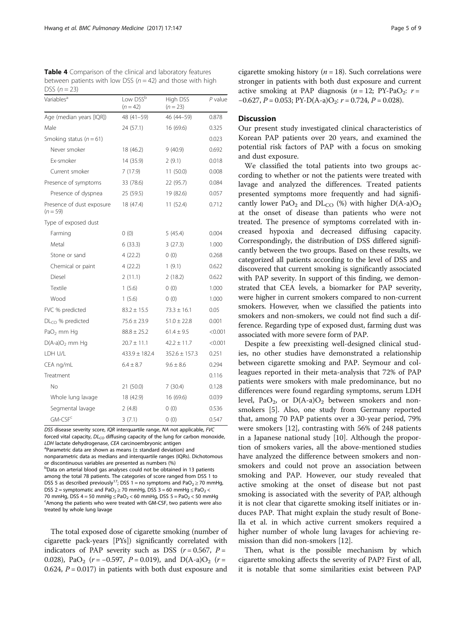<span id="page-4-0"></span>

| <b>Table 4</b> Comparison of the clinical and laboratory features |  |
|-------------------------------------------------------------------|--|
| between patients with low DSS ( $n = 42$ ) and those with high    |  |
| DSS $(n=23)$                                                      |  |

| Variables <sup>a</sup>                  | Low DSS <sup>b</sup><br>$(n = 42)$ | High DSS<br>$(n = 23)$ | P value |
|-----------------------------------------|------------------------------------|------------------------|---------|
| Age (median years [IQR])                | 48 (41-59)                         | 46 (44-59)             | 0.878   |
| Male                                    | 24 (57.1)                          | 16 (69.6)              | 0.325   |
| Smoking status ( $n = 61$ )             |                                    |                        | 0.023   |
| Never smoker                            | 18 (46.2)                          | 9(40.9)                | 0.692   |
| Ex-smoker                               | 14 (35.9)                          | 2(9.1)                 | 0.018   |
| Current smoker                          | 7(17.9)                            | 11(50.0)               | 0.008   |
| Presence of symptoms                    | 33 (78.6)                          | 22 (95.7)              | 0.084   |
| Presence of dyspnea                     | 25 (59.5)                          | 19 (82.6)              | 0.057   |
| Presence of dust exposure<br>$(n = 59)$ | 18 (47.4)                          | 11 (52.4)              | 0.712   |
| Type of exposed dust                    |                                    |                        |         |
| Farming                                 | 0(0)                               | 5(45.4)                | 0.004   |
| Metal                                   | 6(33.3)                            | 3(27.3)                | 1.000   |
| Stone or sand                           | 4(22.2)                            | 0(0)                   | 0.268   |
| Chemical or paint                       | 4(22.2)                            | 1(9.1)                 | 0.622   |
| Diesel                                  | 2(11.1)                            | 2(18.2)                | 0.622   |
| Textile                                 | 1(5.6)                             | 0(0)                   | 1.000   |
| Wood                                    | 1(5.6)                             | 0(0)                   | 1.000   |
| FVC % predicted                         | $83.2 \pm 15.5$                    | $73.3 \pm 16.1$        | 0.05    |
| $DLCO$ % predicted                      | $75.6 \pm 23.9$                    | $51.0 \pm 22.8$        | 0.001   |
| PaO <sub>2</sub> mm Hq                  | $88.8 \pm 25.2$                    | $61.4 \pm 9.5$         | < 0.001 |
| $D(A-a)O2$ mm Hq                        | $20.7 \pm 11.1$                    | $42.2 \pm 11.7$        | < 0.001 |
| LDH U/L                                 | $433.9 \pm 182.4$                  | $352.6 \pm 157.3$      | 0.251   |
| CEA ng/mL                               | $6.4 \pm 8.7$                      | $9.6 \pm 8.6$          | 0.294   |
| Treatment                               |                                    |                        | 0.116   |
| No                                      | 21 (50.0)                          | 7(30.4)                | 0.128   |
| Whole lung lavage                       | 18 (42.9)                          | 16 (69.6)              | 0.039   |
| Segmental lavage                        | 2(4.8)                             | 0(0)                   | 0.536   |
| GM-CSF <sup>c</sup>                     | 3(7.1)                             | 0(0)                   | 0.547   |

DSS disease severity score, IQR interquartile range, NA not applicable, FVC forced vital capacity,  $DL_{CO}$  diffusing capacity of the lung for carbon monoxide, LDH lactate dehydrogenase, CEA carcinoembryonic antigen  $a$ Parametric data are shown as means ( $\pm$  standard deviation) and nonparametric data as medians and interquartile ranges (IQRs). Dichotomous or discontinuous variables are presented as numbers (%) <sup>b</sup>Data on arterial blood gas analyses could not be obtained in 13 patients among the total 78 patients. The categories of score ranged from DSS 1 to DSS 5 as described previously<sup>17</sup>; DSS 1 = no symptoms and PaO<sub>2</sub>  $\ge$  70 mmHg, DSS 2 = symptomatic and PaO<sub>2</sub>  $\geq$  70 mmHg, DSS 3 = 60 mmHg  $\leq$  PaO<sub>2</sub> < 70 mmHg, DSS 4 = 50 mmHg  $\leq$  PaO<sub>2</sub> < 60 mmHg, DSS 5 = PaO<sub>2</sub> < 50 mmHg Among the patients who were treated with GM-CSF, two patients were also treated by whole lung lavage

The total exposed dose of cigarette smoking (number of cigarette pack-years [PYs]) significantly correlated with indicators of PAP severity such as DSS ( $r = 0.567$ ,  $P =$ 0.028), PaO<sub>2</sub> ( $r = -0.597$ , P = 0.019), and D(A-a)O<sub>2</sub> ( $r =$ 0.624,  $P = 0.017$ ) in patients with both dust exposure and cigarette smoking history ( $n = 18$ ). Such correlations were stronger in patients with both dust exposure and current active smoking at PAP diagnosis  $(n = 12; \text{PY-PaO}_2; r =$  $-0.627$ ,  $P = 0.053$ ;  $PY-D(A-a)O_2$ :  $r = 0.724$ ,  $P = 0.028$ ).

# **Discussion**

Our present study investigated clinical characteristics of Korean PAP patients over 20 years, and examined the potential risk factors of PAP with a focus on smoking and dust exposure.

We classified the total patients into two groups according to whether or not the patients were treated with lavage and analyzed the differences. Treated patients presented symptoms more frequently and had significantly lower PaO<sub>2</sub> and DL<sub>CO</sub> (%) with higher D(A-a)O<sub>2</sub> at the onset of disease than patients who were not treated. The presence of symptoms correlated with increased hypoxia and decreased diffusing capacity. Correspondingly, the distribution of DSS differed significantly between the two groups. Based on these results, we categorized all patients according to the level of DSS and discovered that current smoking is significantly associated with PAP severity. In support of this finding, we demonstrated that CEA levels, a biomarker for PAP severity, were higher in current smokers compared to non-current smokers. However, when we classified the patients into smokers and non-smokers, we could not find such a difference. Regarding type of exposed dust, farming dust was associated with more severe form of PAP.

Despite a few preexisting well-designed clinical studies, no other studies have demonstrated a relationship between cigarette smoking and PAP. Seymour and colleagues reported in their meta-analysis that 72% of PAP patients were smokers with male predominance, but no differences were found regarding symptoms, serum LDH level, PaO<sub>2</sub>, or D(A-a)O<sub>2</sub> between smokers and nonsmokers [[5\]](#page-7-0). Also, one study from Germany reported that, among 70 PAP patients over a 30-year period, 79% were smokers [[12\]](#page-7-0), contrasting with 56% of 248 patients in a Japanese national study [\[10](#page-7-0)]. Although the proportion of smokers varies, all the above-mentioned studies have analyzed the difference between smokers and nonsmokers and could not prove an association between smoking and PAP. However, our study revealed that active smoking at the onset of disease but not past smoking is associated with the severity of PAP, although it is not clear that cigarette smoking itself initiates or induces PAP. That might explain the study result of Bonella et al. in which active current smokers required a higher number of whole lung lavages for achieving remission than did non-smokers [[12\]](#page-7-0).

Then, what is the possible mechanism by which cigarette smoking affects the severity of PAP? First of all, it is notable that some similarities exist between PAP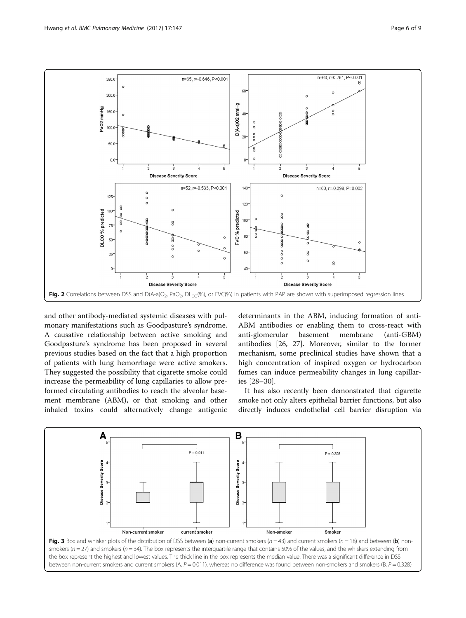<span id="page-5-0"></span>

and other antibody-mediated systemic diseases with pulmonary manifestations such as Goodpasture's syndrome. A causative relationship between active smoking and Goodpasture's syndrome has been proposed in several previous studies based on the fact that a high proportion of patients with lung hemorrhage were active smokers. They suggested the possibility that cigarette smoke could increase the permeability of lung capillaries to allow preformed circulating antibodies to reach the alveolar basement membrane (ABM), or that smoking and other inhaled toxins could alternatively change antigenic

determinants in the ABM, inducing formation of anti-ABM antibodies or enabling them to cross-react with anti-glomerular basement membrane (anti-GBM) antibodies [[26, 27\]](#page-7-0). Moreover, similar to the former mechanism, some preclinical studies have shown that a high concentration of inspired oxygen or hydrocarbon fumes can induce permeability changes in lung capillaries [[28](#page-7-0)–[30](#page-7-0)].

It has also recently been demonstrated that cigarette smoke not only alters epithelial barrier functions, but also directly induces endothelial cell barrier disruption via

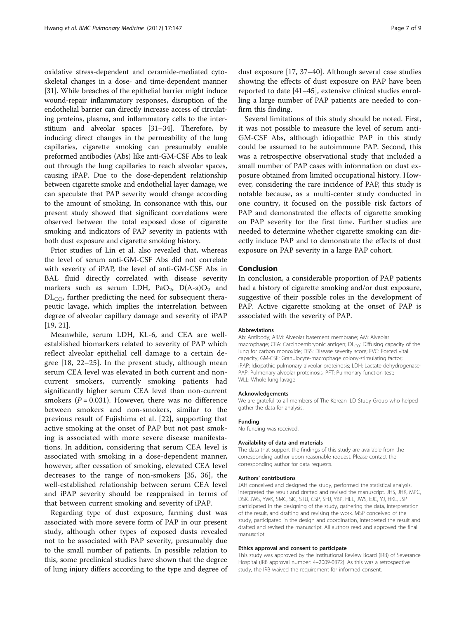oxidative stress-dependent and ceramide-mediated cytoskeletal changes in a dose- and time-dependent manner [[31](#page-7-0)]. While breaches of the epithelial barrier might induce wound-repair inflammatory responses, disruption of the endothelial barrier can directly increase access of circulating proteins, plasma, and inflammatory cells to the interstitium and alveolar spaces [[31](#page-7-0)–[34\]](#page-8-0). Therefore, by inducing direct changes in the permeability of the lung capillaries, cigarette smoking can presumably enable preformed antibodies (Abs) like anti-GM-CSF Abs to leak out through the lung capillaries to reach alveolar spaces, causing iPAP. Due to the dose-dependent relationship between cigarette smoke and endothelial layer damage, we can speculate that PAP severity would change according to the amount of smoking. In consonance with this, our present study showed that significant correlations were observed between the total exposed dose of cigarette smoking and indicators of PAP severity in patients with both dust exposure and cigarette smoking history.

Prior studies of Lin et al. also revealed that, whereas the level of serum anti-GM-CSF Abs did not correlate with severity of iPAP, the level of anti-GM-CSF Abs in BAL fluid directly correlated with disease severity markers such as serum LDH, PaO<sub>2</sub>, D(A-a)O<sub>2</sub> and  $DL<sub>CO</sub>$ , further predicting the need for subsequent therapeutic lavage, which implies the interrelation between degree of alveolar capillary damage and severity of iPAP [[19, 21\]](#page-7-0).

Meanwhile, serum LDH, KL-6, and CEA are wellestablished biomarkers related to severity of PAP which reflect alveolar epithelial cell damage to a certain degree [[18, 22](#page-7-0)–[25\]](#page-7-0). In the present study, although mean serum CEA level was elevated in both current and noncurrent smokers, currently smoking patients had significantly higher serum CEA level than non-current smokers ( $P = 0.031$ ). However, there was no difference between smokers and non-smokers, similar to the previous result of Fujishima et al. [\[22](#page-7-0)], supporting that active smoking at the onset of PAP but not past smoking is associated with more severe disease manifestations. In addition, considering that serum CEA level is associated with smoking in a dose-dependent manner, however, after cessation of smoking, elevated CEA level decreases to the range of non-smokers [[35, 36\]](#page-8-0), the well-established relationship between serum CEA level and iPAP severity should be reappraised in terms of that between current smoking and severity of iPAP.

Regarding type of dust exposure, farming dust was associated with more severe form of PAP in our present study, although other types of exposed dusts revealed not to be associated with PAP severity, presumably due to the small number of patients. In possible relation to this, some preclinical studies have shown that the degree of lung injury differs according to the type and degree of

dust exposure [\[17](#page-7-0), [37](#page-8-0)–[40](#page-8-0)]. Although several case studies showing the effects of dust exposure on PAP have been reported to date [[41](#page-8-0)–[45](#page-8-0)], extensive clinical studies enrolling a large number of PAP patients are needed to confirm this finding.

Several limitations of this study should be noted. First, it was not possible to measure the level of serum anti-GM-CSF Abs, although idiopathic PAP in this study could be assumed to be autoimmune PAP. Second, this was a retrospective observational study that included a small number of PAP cases with information on dust exposure obtained from limited occupational history. However, considering the rare incidence of PAP, this study is notable because, as a multi-center study conducted in one country, it focused on the possible risk factors of PAP and demonstrated the effects of cigarette smoking on PAP severity for the first time. Further studies are needed to determine whether cigarette smoking can directly induce PAP and to demonstrate the effects of dust exposure on PAP severity in a large PAP cohort.

# Conclusion

In conclusion, a considerable proportion of PAP patients had a history of cigarette smoking and/or dust exposure, suggestive of their possible roles in the development of PAP. Active cigarette smoking at the onset of PAP is associated with the severity of PAP.

#### Abbreviations

Ab: Antibody; ABM: Alveolar basement membrane; AM: Alveolar macrophage; CEA: Carcinoembryonic antigen;  $DL<sub>CO</sub>$ : Diffusing capacity of the lung for carbon monoxide; DSS: Disease severity score; FVC: Forced vital capacity; GM-CSF: Granulocyte-macrophage colony-stimulating factor; iPAP: Idiopathic pulmonary alveolar proteinosis; LDH: Lactate dehydrogenase; PAP: Pulmonary alveolar proteinosis; PFT: Pulmonary function test; WLL: Whole lung lavage

#### Acknowledgements

We are grateful to all members of The Korean ILD Study Group who helped gather the data for analysis.

#### Funding

No funding was received.

#### Availability of data and materials

The data that support the findings of this study are available from the corresponding author upon reasonable request. Please contact the corresponding author for data requests.

#### Authors' contributions

JAH conceived and designed the study, performed the statistical analysis, interpreted the result and drafted and revised the manuscript. JHS, JHK, MPC, DSK, JWS, YWK, SMC, SIC, STU, CSP, SHJ, YBP, HLL, JWS, EJC, YJ, HKL, JSP participated in the designing of the study, gathering the data, interpretation of the result, and drafting and revising the work. MSP conceived of the study, participated in the design and coordination, interpreted the result and drafted and revised the manuscript. All authors read and approved the final manuscript.

#### Ethics approval and consent to participate

This study was approved by the Institutional Review Board (IRB) of Severance Hospital (IRB approval number: 4–2009-0372). As this was a retrospective study, the IRB waived the requirement for informed consent.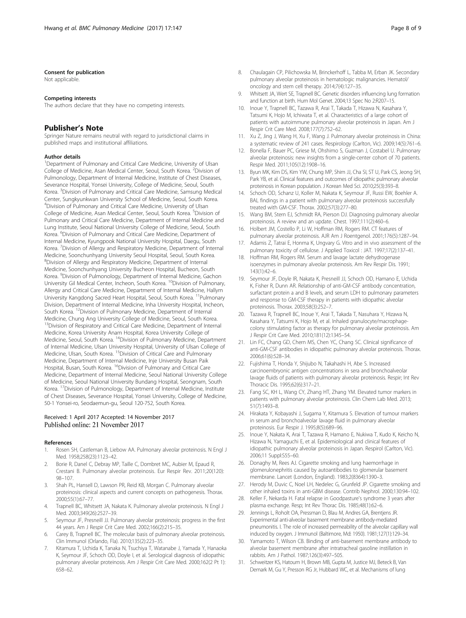#### <span id="page-7-0"></span>Consent for publication

Not applicable.

#### Competing interests

The authors declare that they have no competing interests.

### Publisher's Note

Springer Nature remains neutral with regard to jurisdictional claims in published maps and institutional affiliations.

#### Author details

<sup>1</sup>Department of Pulmonary and Critical Care Medicine, University of Ulsan College of Medicine, Asan Medical Center, Seoul, South Korea. <sup>2</sup> Division of Pulmonology, Department of Internal Medicine, Institute of Chest Diseases, Severance Hospital, Yonsei University, College of Medicine, Seoul, South Korea. <sup>3</sup>Division of Pulmonary and Critical Care Medicine, Samsung Medical Center, Sungkyunkwan University School of Medicine, Seoul, South Korea. 4 Division of Pulmonary and Critical Care Medicine, University of Ulsan College of Medicine, Asan Medical Center, Seoul, South Korea. <sup>5</sup>Division of Pulmonary and Critical Care Medicine, Department of Internal Medicine and Lung Institute, Seoul National University College of Medicine, Seoul, South Korea. <sup>6</sup>Division of Pulmonary and Critical Care Medicine, Department of Internal Medicine, Kyungpook National University Hospital, Daegu, South Korea. <sup>7</sup>Division of Allergy and Respiratory Medicine, Department of Internal Medicine, Soonchunhyang University Seoul Hospital, Seoul, South Korea. 8 Division of Allergy and Respiratory Medicine, Department of Internal Medicine, Soonchunhyang University Bucheon Hospital, Bucheon, South Korea. <sup>9</sup>Division of Pulmonology, Department of Internal Medicine, Gachon University Gil Medical Center, Incheon, South Korea. 10Division of Pulmonary, Allergy and Critical Care Medicine, Department of Internal Medicine, Hallym University Kangdong Sacred Heart Hospital, Seoul, South Korea. <sup>11</sup>Pulmonary Division, Department of Internal Medicine, Inha University Hospital, Incheon, South Korea. 12Division of Pulmonary Medicine, Department of Internal Medicine, Chung Ang University College of Medicine, Seoul, South Korea. <sup>13</sup>Division of Respiratory and Critical Care Medicine, Department of Internal Medicine, Korea University Anam Hospital, Korea University College of Medicine, Seoul, South Korea. 14Division of Pulmonary Medicine, Department of Internal Medicine, Ulsan University Hospital, University of Ulsan College of Medicine, Ulsan, South Korea. 15Division of Critical Care and Pulmonary Medicine, Department of Internal Medicine, Inje University Busan Paik Hospital, Busan, South Korea. <sup>16</sup>Division of Pulmonary and Critical Care Medicine, Department of Internal Medicine, Seoul National University College of Medicine, Seoul National University Bundang Hospital, Seongnam, South Korea. 17Division of Pulmonology, Department of Internal Medicine, Institute of Chest Diseases, Severance Hospital, Yonsei University, College of Medicine, 50-1 Yonsei-ro, Seodaemun-gu, Seoul 120-752, South Korea.

## Received: 1 April 2017 Accepted: 14 November 2017 Published online: 21 November 2017

#### References

- 1. Rosen SH, Castleman B, Liebow AA. Pulmonary alveolar proteinosis. N Engl J Med. 1958;258(23):1123–42.
- 2. Borie R, Danel C, Debray MP, Taille C, Dombret MC, Aubier M, Epaud R, Crestani B. Pulmonary alveolar proteinosis. Eur Respir Rev. 2011;20(120): 98–107.
- 3. Shah PL, Hansell D, Lawson PR, Reid KB, Morgan C. Pulmonary alveolar proteinosis: clinical aspects and current concepts on pathogenesis. Thorax. 2000;55(1):67–77.
- 4. Trapnell BC, Whitsett JA, Nakata K. Pulmonary alveolar proteinosis. N Engl J Med. 2003;349(26):2527–39.
- 5. Seymour JF, Presneill JJ. Pulmonary alveolar proteinosis: progress in the first 44 years. Am J Respir Crit Care Med. 2002;166(2):215–35.
- 6. Carey B, Trapnell BC. The molecular basis of pulmonary alveolar proteinosis. Clin Immunol (Orlando, Fla). 2010;135(2):223–35.
- 7. Kitamura T, Uchida K, Tanaka N, Tsuchiya T, Watanabe J, Yamada Y, Hanaoka K, Seymour JF, Schoch OD, Doyle I, et al. Serological diagnosis of idiopathic pulmonary alveolar proteinosis. Am J Respir Crit Care Med. 2000;162(2 Pt 1): 658–62.
- 8. Chaulagain CP, Pilichowska M, Brinckerhoff L, Tabba M, Erban JK. Secondary pulmonary alveolar proteinosis in hematologic malignancies. Hematol/ oncology and stem cell therapy. 2014;7(4):127–35.
- 9. Whitsett JA, Wert SE, Trapnell BC. Genetic disorders influencing lung formation and function at birth. Hum Mol Genet. 2004;13 Spec No 2:R207–15.
- 10. Inoue Y, Trapnell BC, Tazawa R, Arai T, Takada T, Hizawa N, Kasahara Y, Tatsumi K, Hojo M, Ichiwata T, et al. Characteristics of a large cohort of patients with autoimmune pulmonary alveolar proteinosis in Japan. Am J Respir Crit Care Med. 2008;177(7):752–62.
- 11. Xu Z, Jing J, Wang H, Xu F, Wang J. Pulmonary alveolar proteinosis in China: a systematic review of 241 cases. Respirology (Carlton, Vic). 2009;14(5):761–6.
- 12. Bonella F, Bauer PC, Griese M, Ohshimo S, Guzman J, Costabel U. Pulmonary alveolar proteinosis: new insights from a single-center cohort of 70 patients. Respir Med. 2011;105(12):1908–16.
- 13. Byun MK, Kim DS, Kim YW, Chung MP, Shim JJ, Cha SI, ST U, Park CS, Jeong SH, Park YB, et al. Clinical features and outcomes of idiopathic pulmonary alveolar proteinosis in Korean population. J Korean Med Sci. 2010;25(3):393–8.
- 14. Schoch OD, Schanz U, Koller M, Nakata K, Seymour JF, Russi EW, Boehler A. BAL findings in a patient with pulmonary alveolar proteinosis successfully treated with GM-CSF. Thorax. 2002;57(3):277–80.
- 15. Wang BM, Stern EJ, Schmidt RA, Pierson DJ. Diagnosing pulmonary alveolar proteinosis. A review and an update. Chest. 1997;111(2):460–6.
- 16. Holbert JM, Costello P, Li W, Hoffman RM, Rogers RM. CT features of pulmonary alveolar proteinosis. AJR Am J Roentgenol. 2001;176(5):1287–94.
- 17. Adamis Z, Tatrai E, Honma K, Ungvary G. Vitro and in vivo assessment of the pulmonary toxicity of cellulose. J Applied Toxicol : JAT. 1997;17(2):137–41.
- 18. Hoffman RM, Rogers RM. Serum and lavage lactate dehydrogenase isoenzymes in pulmonary alveolar proteinosis. Am Rev Respir Dis. 1991; 143(1):42–6.
- 19. Seymour JF, Doyle IR, Nakata K, Presneill JJ, Schoch OD, Hamano E, Uchida K, Fisher R, Dunn AR. Relationship of anti-GM-CSF antibody concentration, surfactant protein a and B levels, and serum LDH to pulmonary parameters and response to GM-CSF therapy in patients with idiopathic alveolar proteinosis. Thorax. 2003;58(3):252–7.
- 20. Tazawa R, Trapnell BC, Inoue Y, Arai T, Takada T, Nasuhara Y, Hizawa N, Kasahara Y, Tatsumi K, Hojo M, et al. Inhaled granulocyte/macrophagecolony stimulating factor as therapy for pulmonary alveolar proteinosis. Am J Respir Crit Care Med. 2010;181(12):1345–54.
- 21. Lin FC, Chang GD, Chern MS, Chen YC, Chang SC. Clinical significance of anti-GM-CSF antibodies in idiopathic pulmonary alveolar proteinosis. Thorax. 2006;61(6):528–34.
- 22. Fujishima T, Honda Y, Shijubo N, Takahashi H, Abe S. Increased carcinoembryonic antigen concentrations in sera and bronchoalveolar lavage fluids of patients with pulmonary alveolar proteinosis. Respir; Int Rev Thoracic Dis. 1995;62(6):317–21.
- 23. Fang SC, KH L, Wang CY, Zhang HT, Zhang YM. Elevated tumor markers in patients with pulmonary alveolar proteinosis. Clin Chem Lab Med. 2013; 51(7):1493–8.
- 24. Hirakata Y, Kobayashi J, Sugama Y, Kitamura S. Elevation of tumour markers in serum and bronchoalveolar lavage fluid in pulmonary alveolar proteinosis. Eur Respir J. 1995;8(5):689–96.
- 25. Inoue Y, Nakata K, Arai T, Tazawa R, Hamano E, Nukiwa T, Kudo K, Keicho N, Hizawa N, Yamaguchi E, et al. Epidemiological and clinical features of idiopathic pulmonary alveolar proteinosis in Japan. Respirol (Carlton, Vic). 2006;11 Suppl:S55–60.
- 26. Donaghy M, Rees AJ. Cigarette smoking and lung haemorrhage in glomerulonephritis caused by autoantibodies to glomerular basement membrane. Lancet (London, England). 1983;2(8364):1390–3.
- 27. Herody M, Duvic C, Noel LH, Nedelec G, Grunfeld JP. Cigarette smoking and other inhaled toxins in anti-GBM disease. Contrib Nephrol. 2000;130:94–102.
- 28. Keller F, Nekarda H. Fatal relapse in Goodpasture's syndrome 3 years after plasma exchange. Resp; Int Rev Thorac Dis. 1985;48(1):62–6.
- 29. Jennings L, Roholt OA, Pressman D, Blau M, Andres GA, Brentjens JR. Experimental anti-alveolar basement membrane antibody-mediated pneumonitis. I. The role of increased permeability of the alveolar capillary wall induced by oxygen. J Immunol (Baltimore, Md: 1950). 1981;127(1):129–34.
- 30. Yamamoto T, Wilson CB. Binding of anti-basement membrane antibody to alveolar basement membrane after intratracheal gasoline instillation in rabbits. Am J Pathol. 1987;126(3):497–505.
- 31. Schweitzer KS, Hatoum H, Brown MB, Gupta M, Justice MJ, Beteck B, Van Demark M, Gu Y, Presson RG Jr, Hubbard WC, et al. Mechanisms of lung